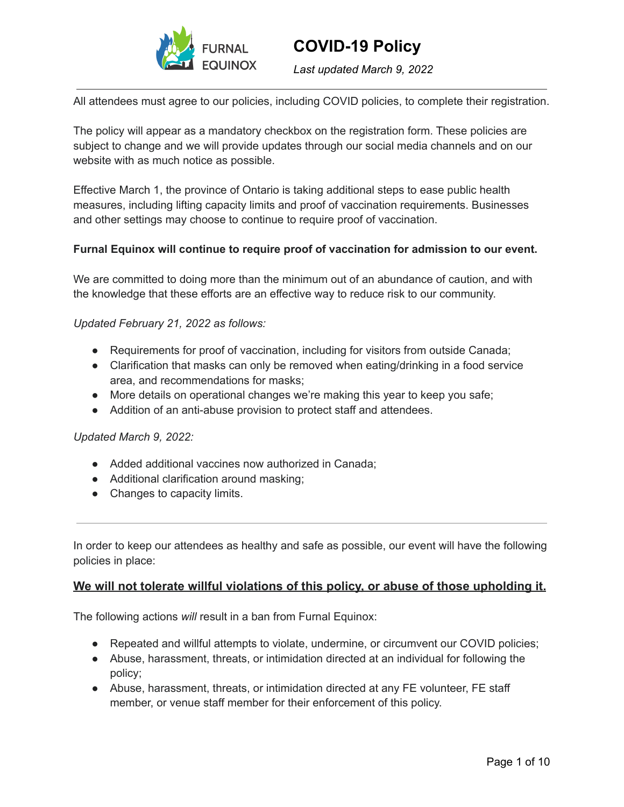

*Last updated March 9, 2022*

All attendees must agree to our policies, including COVID policies, to complete their registration.

The policy will appear as a mandatory checkbox on the registration form. These policies are subject to change and we will provide updates through our social media channels and on our website with as much notice as possible.

Effective March 1, the province of Ontario is taking additional steps to ease public health measures, including lifting capacity limits and proof of vaccination requirements. Businesses and other settings may choose to continue to require proof of vaccination.

#### **Furnal Equinox will continue to require proof of vaccination for admission to our event.**

We are committed to doing more than the minimum out of an abundance of caution, and with the knowledge that these efforts are an effective way to reduce risk to our community.

#### *Updated February 21, 2022 as follows:*

- Requirements for proof of vaccination, including for visitors from outside Canada;
- Clarification that masks can only be removed when eating/drinking in a food service area, and recommendations for masks;
- More details on operational changes we're making this year to keep you safe;
- Addition of an anti-abuse provision to protect staff and attendees.

#### *Updated March 9, 2022:*

- Added additional vaccines now authorized in Canada;
- Additional clarification around masking;
- Changes to capacity limits.

In order to keep our attendees as healthy and safe as possible, our event will have the following policies in place:

#### **We will not tolerate willful violations of this policy, or abuse of those upholding it.**

The following actions *will* result in a ban from Furnal Equinox:

- Repeated and willful attempts to violate, undermine, or circumvent our COVID policies;
- Abuse, harassment, threats, or intimidation directed at an individual for following the policy;
- Abuse, harassment, threats, or intimidation directed at any FE volunteer, FE staff member, or venue staff member for their enforcement of this policy.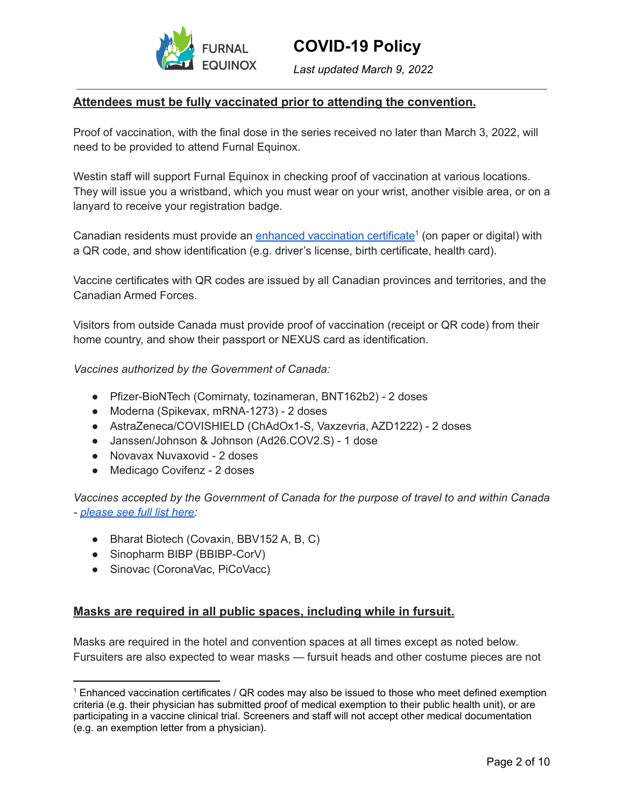

*Last updated March 9, 2022*

### **Attendees must be fully vaccinated prior to attending the convention.**

Proof of vaccination, with the final dose in the series received no later than March 3, 2022, will need to be provided to attend Furnal Equinox.

Westin staff will support Furnal Equinox in checking proof of vaccination at various locations. They will issue you a wristband, which you must wear on your wrist, another visible area, or on a lanyard to receive your registration badge.

Canadian residents must provide an enhanced [vaccination](https://covid-19.ontario.ca/proof-covid-19-vaccination) certificate<sup>1</sup> (on paper or digital) with a QR code, and show identification (e.g. driver's license, birth certificate, health card).

Vaccine certificates with QR codes are issued by all Canadian provinces and territories, and the Canadian Armed Forces.

Visitors from outside Canada must provide proof of vaccination (receipt or QR code) from their home country, and show their passport or NEXUS card as identification.

*Vaccines authorized by the [Government](https://travel.gc.ca/travel-covid/travel-restrictions/covid-vaccinated-travellers-entering-canada) of Canada:*

- Pfizer-BioNTech (Comirnaty, tozinameran, BNT162b2) 2 doses
- Moderna (Spikevax, mRNA-1273) 2 doses
- AstraZeneca/COVISHIELD (ChAdOx1-S, Vaxzevria, AZD1222) 2 doses
- Janssen/Johnson & Johnson (Ad26.COV2.S) 1 dose
- Novavax Nuvaxovid 2 doses
- Medicago Covifenz 2 doses

*Vaccines accepted by the Government of Canada for the purpose of travel to and within Canada - [please](https://travel.gc.ca/travel-covid/travel-restrictions/covid-vaccinated-travellers-entering-canada) see full list here:*

- Bharat Biotech (Covaxin, BBV152 A, B, C)
- Sinopharm BIBP (BBIBP-CorV)
- Sinovac (CoronaVac, PiCoVacc)

#### **Masks are required in all public spaces, including while in fursuit.**

Masks are required in the hotel and convention spaces at all times except as noted below. Fursuiters are also expected to wear masks — fursuit heads and other costume pieces are not

<sup>1</sup> Enhanced vaccination certificates / QR codes may also be issued to those who meet defined exemption criteria (e.g. their physician has submitted proof of medical exemption to their public health unit), or are participating in a vaccine clinical trial. Screeners and staff will not accept other medical documentation (e.g. an exemption letter from a physician).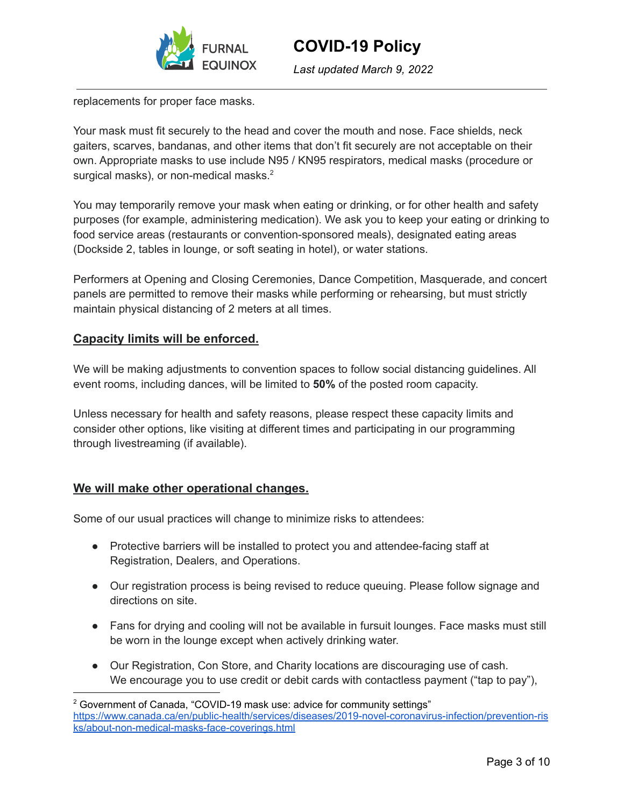

*Last updated March 9, 2022*

replacements for proper face masks.

Your mask must fit securely to the head and cover the mouth and nose. Face shields, neck gaiters, scarves, bandanas, and other items that don't fit securely are not acceptable on their own. Appropriate masks to use include N95 / KN95 respirators, medical masks (procedure or surgical masks), or non-medical masks.<sup>2</sup>

You may temporarily remove your mask when eating or drinking, or for other health and safety purposes (for example, administering medication). We ask you to keep your eating or drinking to food service areas (restaurants or convention-sponsored meals), designated eating areas (Dockside 2, tables in lounge, or soft seating in hotel), or water stations.

Performers at Opening and Closing Ceremonies, Dance Competition, Masquerade, and concert panels are permitted to remove their masks while performing or rehearsing, but must strictly maintain physical distancing of 2 meters at all times.

## **Capacity limits will be enforced.**

We will be making adjustments to convention spaces to follow social distancing guidelines. All event rooms, including dances, will be limited to **50%** of the posted room capacity.

Unless necessary for health and safety reasons, please respect these capacity limits and consider other options, like visiting at different times and participating in our programming through livestreaming (if available).

## **We will make other operational changes.**

Some of our usual practices will change to minimize risks to attendees:

- Protective barriers will be installed to protect you and attendee-facing staff at Registration, Dealers, and Operations.
- Our registration process is being revised to reduce queuing. Please follow signage and directions on site.
- Fans for drying and cooling will not be available in fursuit lounges. Face masks must still be worn in the lounge except when actively drinking water.
- Our Registration, Con Store, and Charity locations are discouraging use of cash. We encourage you to use credit or debit cards with contactless payment ("tap to pay"),

<sup>&</sup>lt;sup>2</sup> Government of Canada, "COVID-19 mask use: advice for community settings" [https://www.canada.ca/en/public-health/services/diseases/2019-novel-coronavirus-infection/prevention-ris](https://www.canada.ca/en/public-health/services/diseases/2019-novel-coronavirus-infection/prevention-risks/about-non-medical-masks-face-coverings.html) [ks/about-non-medical-masks-face-coverings.html](https://www.canada.ca/en/public-health/services/diseases/2019-novel-coronavirus-infection/prevention-risks/about-non-medical-masks-face-coverings.html)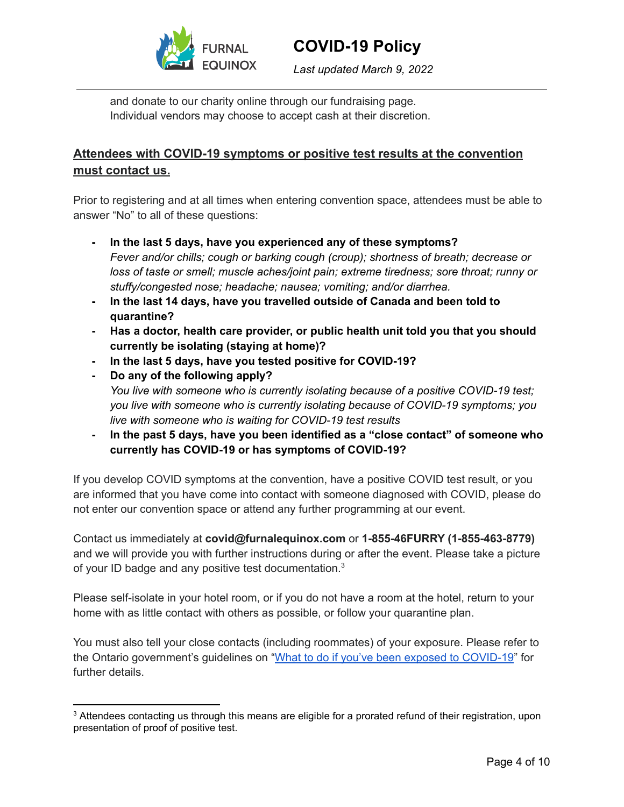

*Last updated March 9, 2022*

and donate to our charity online through our fundraising page. Individual vendors may choose to accept cash at their discretion.

# **Attendees with COVID-19 symptoms or positive test results at the convention must contact us.**

Prior to registering and at all times when entering convention space, attendees must be able to answer "No" to all of these questions:

- **- In the last 5 days, have you experienced any of these symptoms?** *Fever and/or chills; cough or barking cough (croup); shortness of breath; decrease or loss of taste or smell; muscle aches/joint pain; extreme tiredness; sore throat; runny or stuffy/congested nose; headache; nausea; vomiting; and/or diarrhea.*
- **- In the last 14 days, have you travelled outside of Canada and been told to quarantine?**
- **- Has a doctor, health care provider, or public health unit told you that you should currently be isolating (staying at home)?**
- **- In the last 5 days, have you tested positive for COVID-19?**
- **- Do any of the following apply?** *You live with someone who is currently isolating because of a positive COVID-19 test; you live with someone who is currently isolating because of COVID-19 symptoms; you live with someone who is waiting for COVID-19 test results*
- **- In the past 5 days, have you been identified as a "close contact" of someone who currently has COVID-19 or has symptoms of COVID-19?**

If you develop COVID symptoms at the convention, have a positive COVID test result, or you are informed that you have come into contact with someone diagnosed with COVID, please do not enter our convention space or attend any further programming at our event.

Contact us immediately at **covid@furnalequinox.com** or **1-855-46FURRY (1-855-463-8779)** and we will provide you with further instructions during or after the event. Please take a picture of your ID badge and any positive test documentation.<sup>3</sup>

Please self-isolate in your hotel room, or if you do not have a room at the hotel, return to your home with as little contact with others as possible, or follow your quarantine plan.

You must also tell your close contacts (including roommates) of your exposure. Please refer to the Ontario government's guidelines on "What to do if you've been exposed to [COVID-19](https://covid-19.ontario.ca/exposed)" for further details.

<sup>&</sup>lt;sup>3</sup> Attendees contacting us through this means are eligible for a prorated refund of their registration, upon presentation of proof of positive test.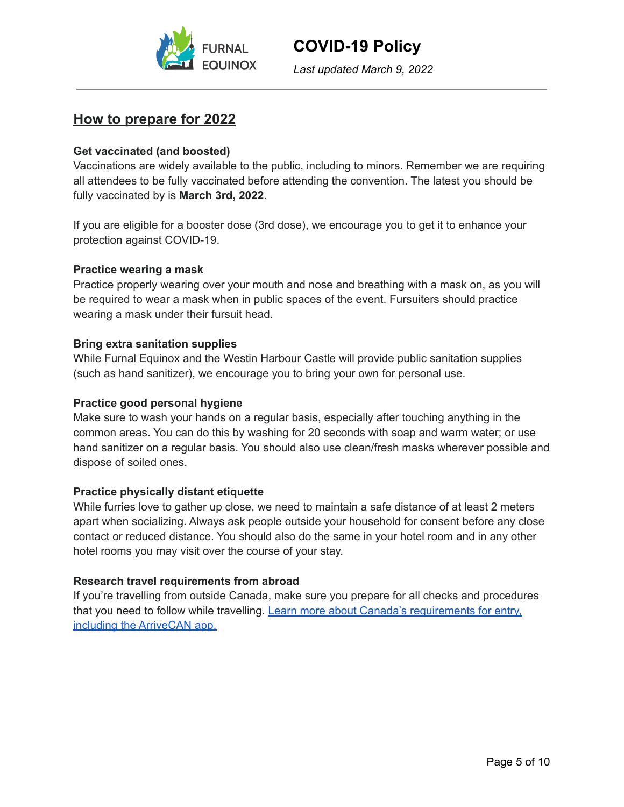

*Last updated March 9, 2022*

# **How to prepare for 2022**

### **Get vaccinated (and boosted)**

Vaccinations are widely available to the public, including to minors. Remember we are requiring all attendees to be fully vaccinated before attending the convention. The latest you should be fully vaccinated by is **March 3rd, 2022**.

If you are eligible for a booster dose (3rd dose), we encourage you to get it to enhance your protection against COVID-19.

#### **Practice wearing a mask**

Practice properly wearing over your mouth and nose and breathing with a mask on, as you will be required to wear a mask when in public spaces of the event. Fursuiters should practice wearing a mask under their fursuit head.

#### **Bring extra sanitation supplies**

While Furnal Equinox and the Westin Harbour Castle will provide public sanitation supplies (such as hand sanitizer), we encourage you to bring your own for personal use.

#### **Practice good personal hygiene**

Make sure to wash your hands on a regular basis, especially after touching anything in the common areas. You can do this by washing for 20 seconds with soap and warm water; or use hand sanitizer on a regular basis. You should also use clean/fresh masks wherever possible and dispose of soiled ones.

#### **Practice physically distant etiquette**

While furries love to gather up close, we need to maintain a safe distance of at least 2 meters apart when socializing. Always ask people outside your household for consent before any close contact or reduced distance. You should also do the same in your hotel room and in any other hotel rooms you may visit over the course of your stay.

#### **Research travel requirements from abroad**

If you're travelling from outside Canada, make sure you prepare for all checks and procedures that you need to follow while travelling. Learn more about Canada's [requirements](https://travel.gc.ca/travel-covid/travel-restrictions/covid-vaccinated-travellers-entering-canada) for entry, including the [ArriveCAN](https://travel.gc.ca/travel-covid/travel-restrictions/covid-vaccinated-travellers-entering-canada) app.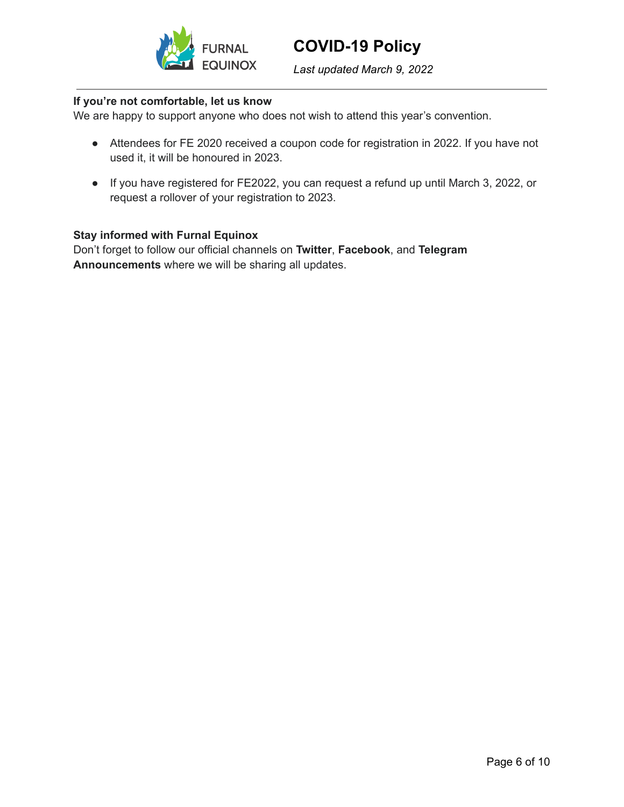

*Last updated March 9, 2022*

#### **If you're not comfortable, let us know**

We are happy to support anyone who does not wish to attend this year's convention.

- Attendees for FE 2020 received a coupon code for registration in 2022. If you have not used it, it will be honoured in 2023.
- If you have registered for FE2022, you can request a refund up until March 3, 2022, or request a rollover of your registration to 2023.

#### **Stay informed with Furnal Equinox**

Don't forget to follow our official channels on **[Twitter](https://twitter.com/FurnalEquinox)**, **[Facebook](https://www.facebook.com/FurnalEquinox)**, and **[Telegram](https://t.me/furnalequinox) [Announcements](https://t.me/furnalequinox)** where we will be sharing all updates.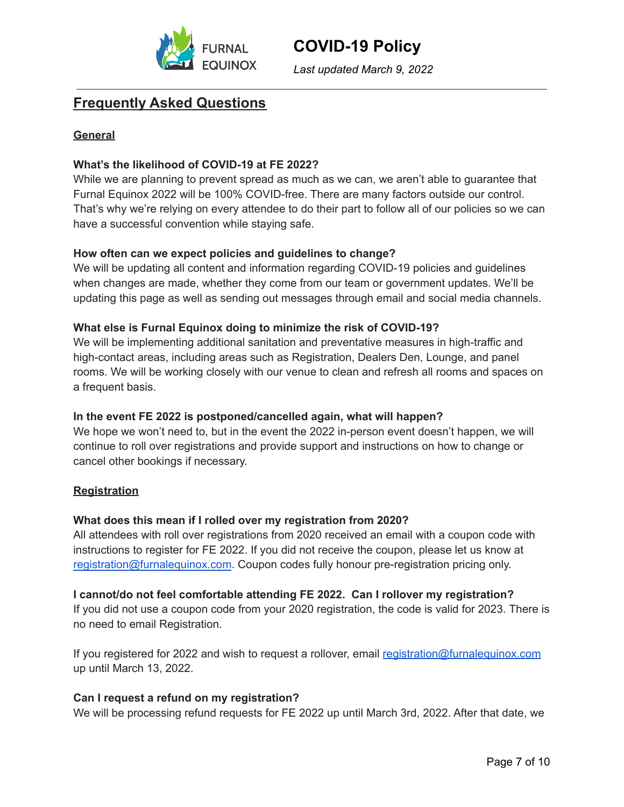

*Last updated March 9, 2022*

# **Frequently Asked Questions**

### **General**

### **What's the likelihood of COVID-19 at FE 2022?**

While we are planning to prevent spread as much as we can, we aren't able to guarantee that Furnal Equinox 2022 will be 100% COVID-free. There are many factors outside our control. That's why we're relying on every attendee to do their part to follow all of our policies so we can have a successful convention while staying safe.

#### **How often can we expect policies and guidelines to change?**

We will be updating all content and information regarding COVID-19 policies and guidelines when changes are made, whether they come from our team or government updates. We'll be updating this page as well as sending out messages through email and social media channels.

### **What else is Furnal Equinox doing to minimize the risk of COVID-19?**

We will be implementing additional sanitation and preventative measures in high-traffic and high-contact areas, including areas such as Registration, Dealers Den, Lounge, and panel rooms. We will be working closely with our venue to clean and refresh all rooms and spaces on a frequent basis.

#### **In the event FE 2022 is postponed/cancelled again, what will happen?**

We hope we won't need to, but in the event the 2022 in-person event doesn't happen, we will continue to roll over registrations and provide support and instructions on how to change or cancel other bookings if necessary.

#### **Registration**

#### **What does this mean if I rolled over my registration from 2020?**

All attendees with roll over registrations from 2020 received an email with a coupon code with instructions to register for FE 2022. If you did not receive the coupon, please let us know at [registration@furnalequinox.com](mailto:registration@furnalequinox.com). Coupon codes fully honour pre-registration pricing only.

**I cannot/do not feel comfortable attending FE 2022. Can I rollover my registration?** If you did not use a coupon code from your 2020 registration, the code is valid for 2023. There is no need to email Registration.

If you registered for 2022 and wish to request a rollover, email [registration@furnalequinox.com](mailto:registration@furnalequinox.com) up until March 13, 2022.

#### **Can I request a refund on my registration?**

We will be processing refund requests for FE 2022 up until March 3rd, 2022. After that date, we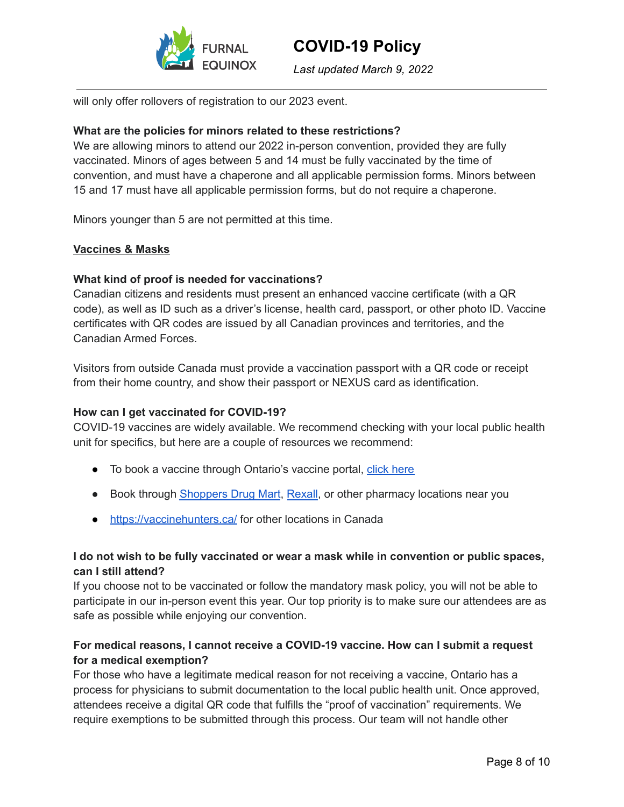

*Last updated March 9, 2022*

will only offer rollovers of registration to our 2023 event.

### **What are the policies for minors related to these restrictions?**

We are allowing minors to attend our 2022 in-person convention, provided they are fully vaccinated. Minors of ages between 5 and 14 must be fully vaccinated by the time of convention, and must have a chaperone and all applicable permission forms. Minors between 15 and 17 must have all applicable permission forms, but do not require a chaperone.

Minors younger than 5 are not permitted at this time.

#### **Vaccines & Masks**

#### **What kind of proof is needed for vaccinations?**

Canadian citizens and residents must present an enhanced vaccine certificate (with a QR code), as well as ID such as a driver's license, health card, passport, or other photo ID. Vaccine certificates with QR codes are issued by all Canadian provinces and territories, and the Canadian Armed Forces.

Visitors from outside Canada must provide a vaccination passport with a QR code or receipt from their home country, and show their passport or NEXUS card as identification.

#### **How can I get vaccinated for COVID-19?**

COVID-19 vaccines are widely available. We recommend checking with your local public health unit for specifics, but here are a couple of resources we recommend:

- To book a vaccine through Ontario's vaccine portal, click [here](https://covid-19.ontario.ca/book-vaccine)
- Book through [Shoppers](https://www1.shoppersdrugmart.ca/en/health-and-pharmacy/covid-19) Drug Mart, [Rexall](https://www.rexall.ca/covid-19/vaccines), or other pharmacy locations near you
- <https://vaccinehunters.ca/> for other locations in Canada

### **I do not wish to be fully vaccinated or wear a mask while in convention or public spaces, can I still attend?**

If you choose not to be vaccinated or follow the mandatory mask policy, you will not be able to participate in our in-person event this year. Our top priority is to make sure our attendees are as safe as possible while enjoying our convention.

### **For medical reasons, I cannot receive a COVID-19 vaccine. How can I submit a request for a medical exemption?**

For those who have a legitimate medical reason for not receiving a vaccine, Ontario has a process for physicians to submit documentation to the local public health unit. Once approved, attendees receive a digital QR code that fulfills the "proof of vaccination" requirements. We require exemptions to be submitted through this process. Our team will not handle other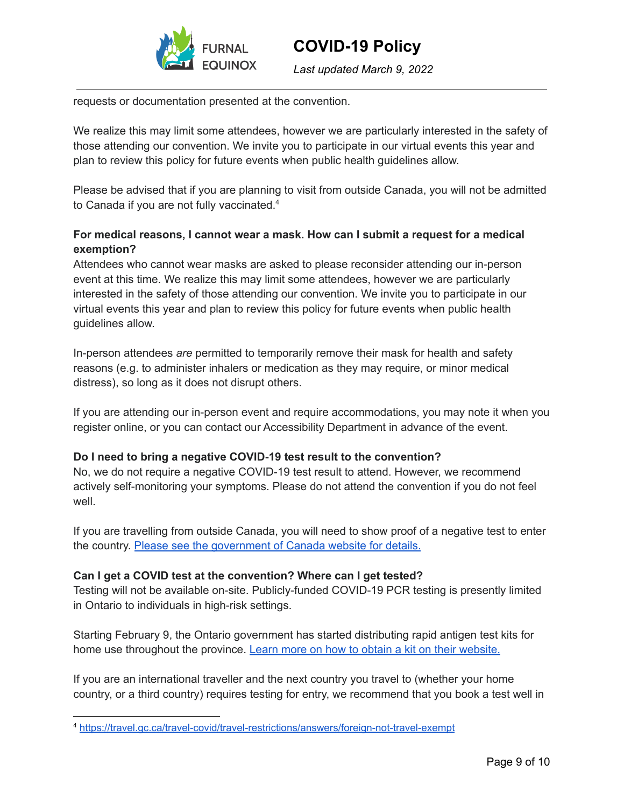

*Last updated March 9, 2022*

requests or documentation presented at the convention.

We realize this may limit some attendees, however we are particularly interested in the safety of those attending our convention. We invite you to participate in our virtual events this year and plan to review this policy for future events when public health guidelines allow.

Please be advised that if you are planning to visit from outside Canada, you will not be admitted to Canada if you are not fully vaccinated.<sup>4</sup>

## **For medical reasons, I cannot wear a mask. How can I submit a request for a medical exemption?**

Attendees who cannot wear masks are asked to please reconsider attending our in-person event at this time. We realize this may limit some attendees, however we are particularly interested in the safety of those attending our convention. We invite you to participate in our virtual events this year and plan to review this policy for future events when public health guidelines allow.

In-person attendees *are* permitted to temporarily remove their mask for health and safety reasons (e.g. to administer inhalers or medication as they may require, or minor medical distress), so long as it does not disrupt others.

If you are attending our in-person event and require accommodations, you may note it when you register online, or you can contact our Accessibility Department in advance of the event.

## **Do I need to bring a negative COVID-19 test result to the convention?**

No, we do not require a negative COVID-19 test result to attend. However, we recommend actively self-monitoring your symptoms. Please do not attend the convention if you do not feel well.

If you are travelling from outside Canada, you will need to show proof of a negative test to enter the country. Please see the [government](https://travel.gc.ca/travel-covid) of Canada website for details.

#### **Can I get a COVID test at the convention? Where can I get tested?**

Testing will not be available on-site. Publicly-funded COVID-19 PCR testing is presently limited in Ontario to individuals in high-risk settings.

Starting February 9, the Ontario government has started distributing rapid antigen test kits for home use throughout the province. Learn more on how to obtain a kit on their [website.](https://www.ontario.ca/page/rapid-testing-home-use)

If you are an international traveller and the next country you travel to (whether your home country, or a third country) requires testing for entry, we recommend that you book a test well in

<sup>4</sup> <https://travel.gc.ca/travel-covid/travel-restrictions/answers/foreign-not-travel-exempt>